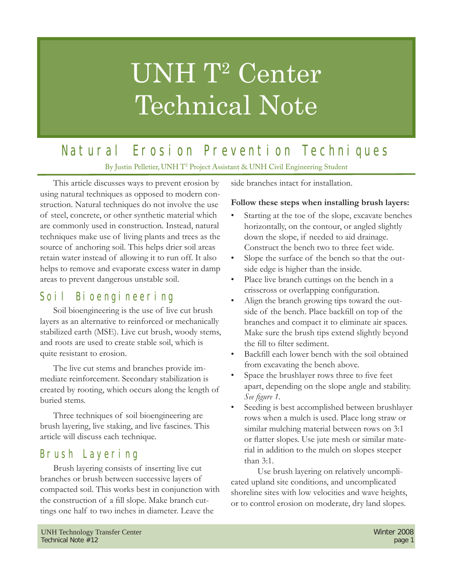# UNH T<sup>2</sup> Center Technical Note

## Natural Erosion Prevention Techniques

By Justin Pelletier, UNH T<sup>2</sup> Project Assistant & UNH Civil Engineering Student

This article discusses ways to prevent erosion by using natural techniques as opposed to modern construction. Natural techniques do not involve the use of steel, concrete, or other synthetic material which are commonly used in construction. Instead, natural techniques make use of living plants and trees as the source of anchoring soil. This helps drier soil areas retain water instead of allowing it to run off. It also helps to remove and evaporate excess water in damp areas to prevent dangerous unstable soil.

## Soil Bioengineering

Soil bioengineering is the use of live cut brush layers as an alternative to reinforced or mechanically stabilized earth (MSE). Live cut brush, woody stems, and roots are used to create stable soil, which is quite resistant to erosion.

The live cut stems and branches provide immediate reinforcement. Secondary stabilization is created by rooting, which occurs along the length of buried stems.

Three techniques of soil bioengineering are brush layering, live staking, and live fascines. This article will discuss each technique.

## Brush Layering

Brush layering consists of inserting live cut branches or brush between successive layers of compacted soil. This works best in conjunction with the construction of a fill slope. Make branch cuttings one half to two inches in diameter. Leave the

side branches intact for installation.

## **Follow these steps when installing brush layers:**

- Starting at the toe of the slope, excavate benches horizontally, on the contour, or angled slightly down the slope, if needed to aid drainage. Construct the bench two to three feet wide.
- Slope the surface of the bench so that the outside edge is higher than the inside.
- Place live branch cuttings on the bench in a crisscross or overlapping configuration.
- Align the branch growing tips toward the outside of the bench. Place backfill on top of the branches and compact it to eliminate air spaces. Make sure the brush tips extend slightly beyond the fill to filter sediment.
- Backfill each lower bench with the soil obtained from excavating the bench above.
- Space the brushlayer rows three to five feet apart, depending on the slope angle and stability. See figure 1.
- Seeding is best accomplished between brushlayer rows when a mulch is used. Place long straw or similar mulching material between rows on 3:1 or flatter slopes. Use jute mesh or similar material in addition to the mulch on slopes steeper than 3:1.

 Use brush layering on relatively uncomplicated upland site conditions, and uncomplicated shoreline sites with low velocities and wave heights, or to control erosion on moderate, dry land slopes.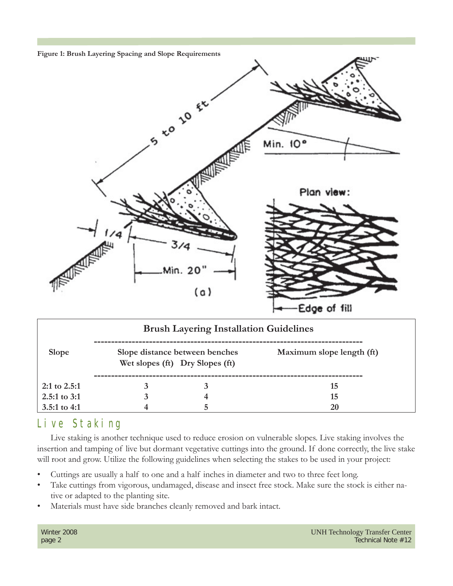

| <b>Brush Layering Installation Guidelines</b> |  |                                                                   |                           |
|-----------------------------------------------|--|-------------------------------------------------------------------|---------------------------|
| <b>Slope</b>                                  |  | Slope distance between benches<br>Wet slopes (ft) Dry Slopes (ft) | Maximum slope length (ft) |
| $2:1$ to $2.5:1$                              |  |                                                                   | 15                        |
| 2.5:1 to $3:1$                                |  |                                                                   | 15                        |
| 3.5:1 to 4:1                                  |  |                                                                   | <b>20</b>                 |

## Live Staking

Live staking is another technique used to reduce erosion on vulnerable slopes. Live staking involves the insertion and tamping of live but dormant vegetative cuttings into the ground. If done correctly, the live stake will root and grow. Utilize the following guidelines when selecting the stakes to be used in your project:

- Cuttings are usually a half to one and a half inches in diameter and two to three feet long.
- Take cuttings from vigorous, undamaged, disease and insect free stock. Make sure the stock is either native or adapted to the planting site.
- Materials must have side branches cleanly removed and bark intact.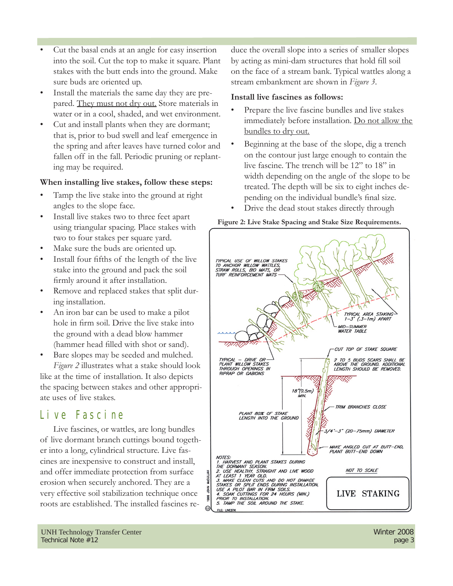- Cut the basal ends at an angle for easy insertion into the soil. Cut the top to make it square. Plant stakes with the butt ends into the ground. Make sure buds are oriented up.
- Install the materials the same day they are prepared. They must not dry out. Store materials in water or in a cool, shaded, and wet environment.
- Cut and install plants when they are dormant; that is, prior to bud swell and leaf emergence in the spring and after leaves have turned color and fallen off in the fall. Periodic pruning or replanting may be required.

### **When installing live stakes, follow these steps:**

- Tamp the live stake into the ground at right angles to the slope face.
- Install live stakes two to three feet apart using triangular spacing. Place stakes with two to four stakes per square yard.
- Make sure the buds are oriented up.
- Install four fifths of the length of the live stake into the ground and pack the soil firmly around it after installation.
- Remove and replaced stakes that split during installation.
- An iron bar can be used to make a pilot hole in firm soil. Drive the live stake into the ground with a dead blow hammer (hammer head filled with shot or sand).
- Bare slopes may be seeded and mulched. *Figure 2* illustrates what a stake should look like at the time of installation. It also depicts the spacing between stakes and other appropriate uses of live stakes.

## Live Fascine

Live fascines, or wattles, are long bundles of live dormant branch cuttings bound together into a long, cylindrical structure. Live fascines are inexpensive to construct and install, and offer immediate protection from surface erosion when securely anchored. They are a very effective soil stabilization technique once roots are established. The installed fascines reduce the overall slope into a series of smaller slopes by acting as mini-dam structures that hold fill soil on the face of a stream bank. Typical wattles along a stream embankment are shown in *Figure 3*.

#### **Install live fascines as follows:**

- Prepare the live fascine bundles and live stakes immediately before installation. Do not allow the bundles to dry out.
- Beginning at the base of the slope, dig a trench on the contour just large enough to contain the live fascine. The trench will be 12" to 18" in width depending on the angle of the slope to be treated. The depth will be six to eight inches depending on the individual bundle's final size.
- Drive the dead stout stakes directly through

#### **Figure 2: Live Stake Spacing and Stake Size Requirements.**